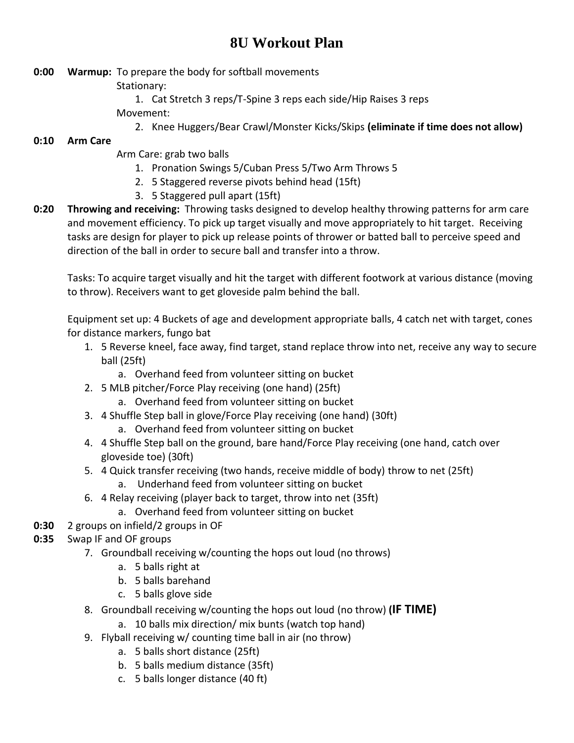## **8U Workout Plan**

- **0:00 Warmup:** To prepare the body for softball movements
	- Stationary:
		- 1. Cat Stretch 3 reps/T-Spine 3 reps each side/Hip Raises 3 reps

Movement:

2. Knee Huggers/Bear Crawl/Monster Kicks/Skips **(eliminate if time does not allow)**

## **0:10 Arm Care**

- Arm Care: grab two balls
	- 1. Pronation Swings 5/Cuban Press 5/Two Arm Throws 5
	- 2. 5 Staggered reverse pivots behind head (15ft)
	- 3. 5 Staggered pull apart (15ft)
- **0:20 Throwing and receiving:** Throwing tasks designed to develop healthy throwing patterns for arm care and movement efficiency. To pick up target visually and move appropriately to hit target. Receiving tasks are design for player to pick up release points of thrower or batted ball to perceive speed and direction of the ball in order to secure ball and transfer into a throw.

Tasks: To acquire target visually and hit the target with different footwork at various distance (moving to throw). Receivers want to get gloveside palm behind the ball.

Equipment set up: 4 Buckets of age and development appropriate balls, 4 catch net with target, cones for distance markers, fungo bat

- 1. 5 Reverse kneel, face away, find target, stand replace throw into net, receive any way to secure ball (25ft)
	- a. Overhand feed from volunteer sitting on bucket
- 2. 5 MLB pitcher/Force Play receiving (one hand) (25ft)
	- a. Overhand feed from volunteer sitting on bucket
- 3. 4 Shuffle Step ball in glove/Force Play receiving (one hand) (30ft)
	- a. Overhand feed from volunteer sitting on bucket
- 4. 4 Shuffle Step ball on the ground, bare hand/Force Play receiving (one hand, catch over gloveside toe) (30ft)
- 5. 4 Quick transfer receiving (two hands, receive middle of body) throw to net (25ft)
	- a. Underhand feed from volunteer sitting on bucket
- 6. 4 Relay receiving (player back to target, throw into net (35ft)
	- a. Overhand feed from volunteer sitting on bucket
- **0:30** 2 groups on infield/2 groups in OF
- **0:35** Swap IF and OF groups
	- 7. Groundball receiving w/counting the hops out loud (no throws)
		- a. 5 balls right at
		- b. 5 balls barehand
		- c. 5 balls glove side
	- 8. Groundball receiving w/counting the hops out loud (no throw) **(IF TIME)**
		- a. 10 balls mix direction/ mix bunts (watch top hand)
	- 9. Flyball receiving w/ counting time ball in air (no throw)
		- a. 5 balls short distance (25ft)
		- b. 5 balls medium distance (35ft)
		- c. 5 balls longer distance (40 ft)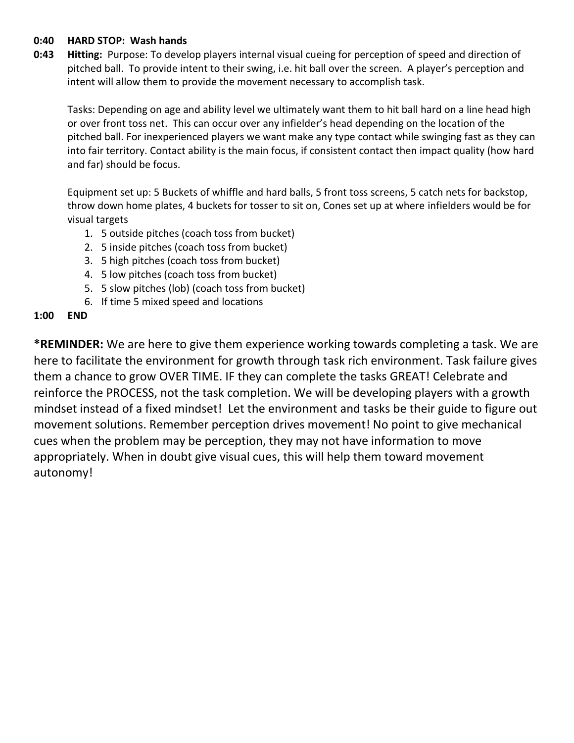## **0:40 HARD STOP: Wash hands**

**0:43 Hitting:** Purpose: To develop players internal visual cueing for perception of speed and direction of pitched ball. To provide intent to their swing, i.e. hit ball over the screen. A player's perception and intent will allow them to provide the movement necessary to accomplish task.

Tasks: Depending on age and ability level we ultimately want them to hit ball hard on a line head high or over front toss net. This can occur over any infielder's head depending on the location of the pitched ball. For inexperienced players we want make any type contact while swinging fast as they can into fair territory. Contact ability is the main focus, if consistent contact then impact quality (how hard and far) should be focus.

Equipment set up: 5 Buckets of whiffle and hard balls, 5 front toss screens, 5 catch nets for backstop, throw down home plates, 4 buckets for tosser to sit on, Cones set up at where infielders would be for visual targets

- 1. 5 outside pitches (coach toss from bucket)
- 2. 5 inside pitches (coach toss from bucket)
- 3. 5 high pitches (coach toss from bucket)
- 4. 5 low pitches (coach toss from bucket)
- 5. 5 slow pitches (lob) (coach toss from bucket)
- 6. If time 5 mixed speed and locations

## **1:00 END**

**\*REMINDER:** We are here to give them experience working towards completing a task. We are here to facilitate the environment for growth through task rich environment. Task failure gives them a chance to grow OVER TIME. IF they can complete the tasks GREAT! Celebrate and reinforce the PROCESS, not the task completion. We will be developing players with a growth mindset instead of a fixed mindset! Let the environment and tasks be their guide to figure out movement solutions. Remember perception drives movement! No point to give mechanical cues when the problem may be perception, they may not have information to move appropriately. When in doubt give visual cues, this will help them toward movement autonomy!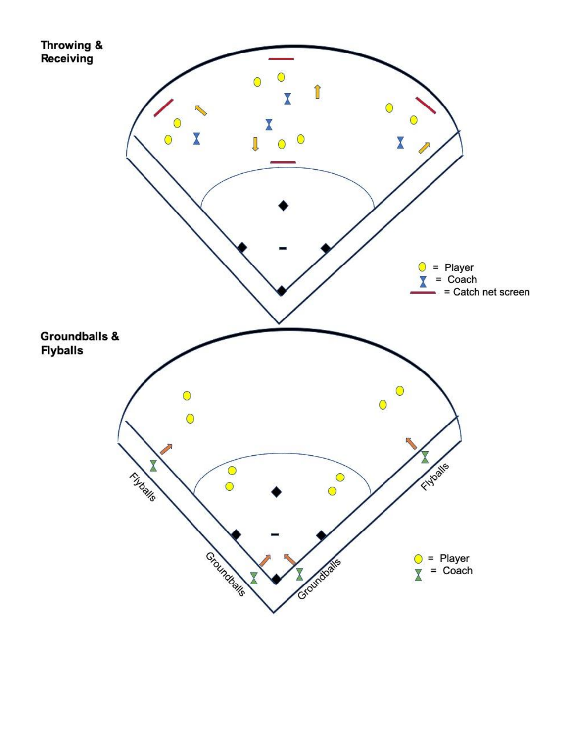